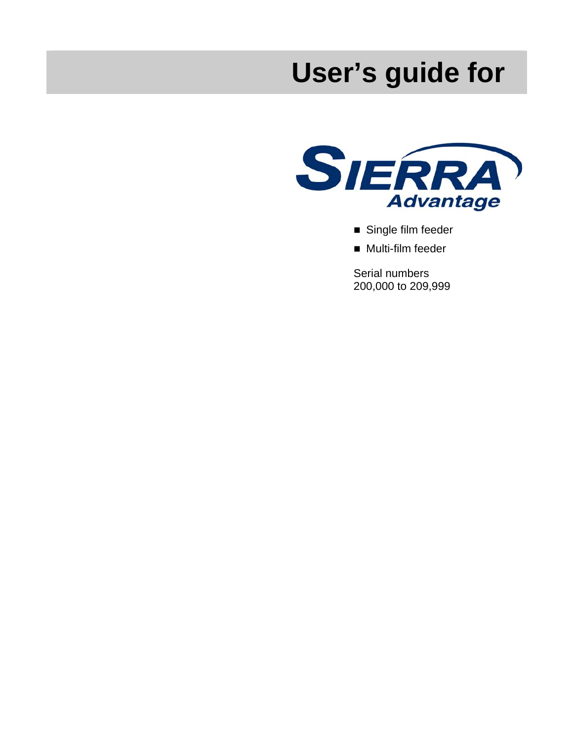# **User's guide for**



- Single film feeder
- **Multi-film feeder**

Serial numbers 200,000 to 209,999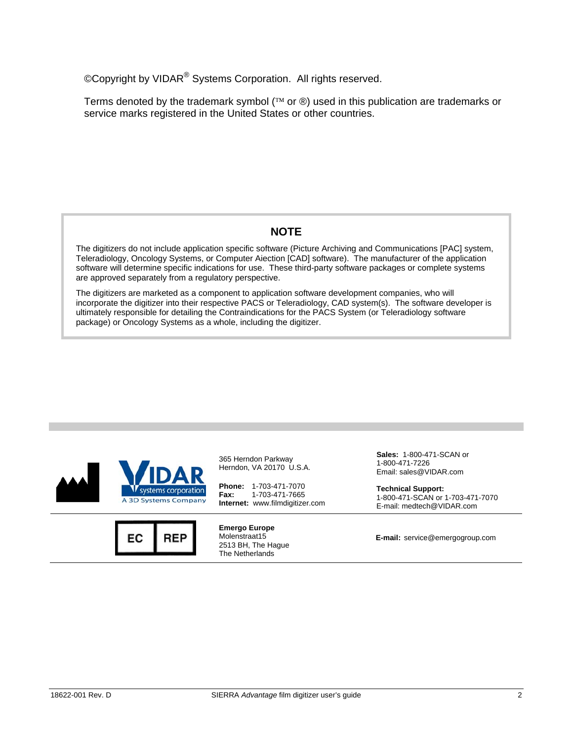©Copyright by VIDAR® Systems Corporation. All rights reserved.

Terms denoted by the trademark symbol ( $\mathbb{N}$  or  $\mathfrak{G}$ ) used in this publication are trademarks or service marks registered in the United States or other countries.

### **NOTE**

The digitizers do not include application specific software (Picture Archiving and Communications [PAC] system, Teleradiology, Oncology Systems, or Computer Aiection [CAD] software). The manufacturer of the application software will determine specific indications for use. These third-party software packages or complete systems are approved separately from a regulatory perspective.

The digitizers are marketed as a component to application software development companies, who will incorporate the digitizer into their respective PACS or Teleradiology, CAD system(s). The software developer is ultimately responsible for detailing the Contraindications for the PACS System (or Teleradiology software package) or Oncology Systems as a whole, including the digitizer.





365 Herndon Parkway Herndon, VA 20170 U.S.A.

**Phone:** 1-703-471-7070 **Fax:** 1-703-471-7665 **Internet:** www.filmdigitizer.com

**Emergo Europe** Molenstraat15 2513 BH, The Hague The Netherlands

**Sales:** 1-800-471-SCAN or 1-800-471-7226 Email: sales@VIDAR.com

**Technical Support:**  1-800-471-SCAN or 1-703-471-7070 E-mail: medtech@VIDAR.com

**E-mail:** service@emergogroup.com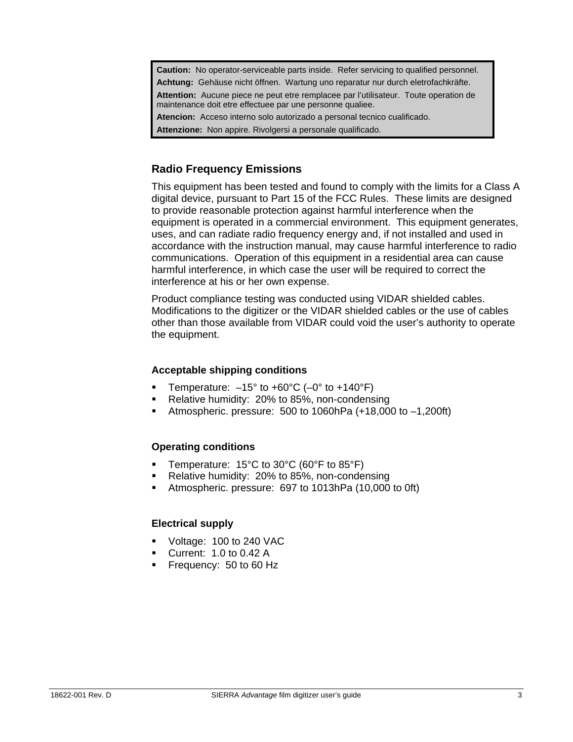**Caution:** No operator-serviceable parts inside. Refer servicing to qualified personnel. **Achtung:** Gehäuse nicht öffnen. Wartung uno reparatur nur durch eletrofachkräfte. **Attention:** Aucune piece ne peut etre remplacee par l'utilisateur. Toute operation de maintenance doit etre effectuee par une personne qualiee. **Atencion:** Acceso interno solo autorizado a personal tecnico cualificado.

**Attenzione:** Non appire. Rivolgersi a personale qualificado.

### **Radio Frequency Emissions**

This equipment has been tested and found to comply with the limits for a Class A digital device, pursuant to Part 15 of the FCC Rules. These limits are designed to provide reasonable protection against harmful interference when the equipment is operated in a commercial environment. This equipment generates, uses, and can radiate radio frequency energy and, if not installed and used in accordance with the instruction manual, may cause harmful interference to radio communications. Operation of this equipment in a residential area can cause harmful interference, in which case the user will be required to correct the interference at his or her own expense.

Product compliance testing was conducted using VIDAR shielded cables. Modifications to the digitizer or the VIDAR shielded cables or the use of cables other than those available from VIDAR could void the user's authority to operate the equipment.

#### **Acceptable shipping conditions**

- **Temperature:**  $-15^{\circ}$  to  $+60^{\circ}$ C ( $-0^{\circ}$  to  $+140^{\circ}$ F)
- **Relative humidity: 20% to 85%, non-condensing**
- Atmospheric. pressure: 500 to 1060hPa (+18,000 to –1,200ft)

#### **Operating conditions**

- **Temperature: 15°C to 30°C (60°F to 85°F)**
- Relative humidity: 20% to 85%, non-condensing
- Atmospheric. pressure: 697 to 1013hPa (10,000 to 0ft)

#### **Electrical supply**

- Voltage: 100 to 240 VAC
- Current: 1.0 to 0.42 A
- Frequency: 50 to 60 Hz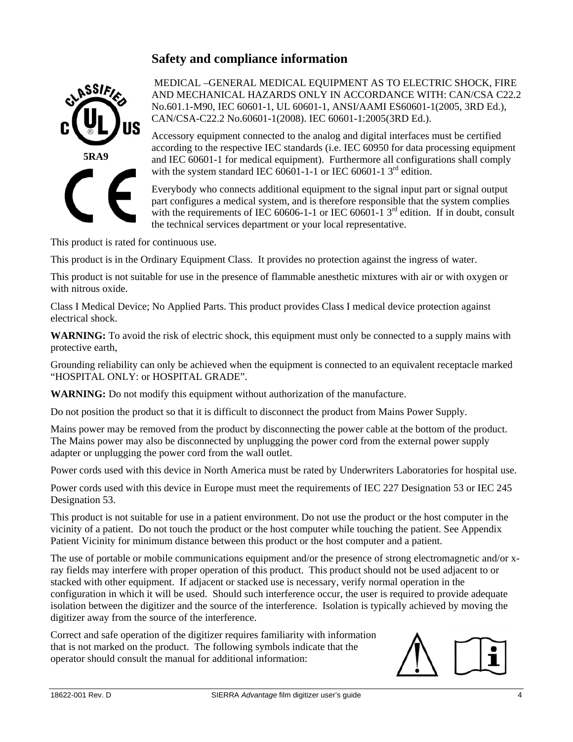## **Safety and compliance information**



 MEDICAL –GENERAL MEDICAL EQUIPMENT AS TO ELECTRIC SHOCK, FIRE AND MECHANICAL HAZARDS ONLY IN ACCORDANCE WITH: CAN/CSA C22.2 No.601.1-M90, IEC 60601-1, UL 60601-1, ANSI/AAMI ES60601-1(2005, 3RD Ed.), CAN/CSA-C22.2 No.60601-1(2008). IEC 60601-1:2005(3RD Ed.).

Accessory equipment connected to the analog and digital interfaces must be certified according to the respective IEC standards (i.e. IEC 60950 for data processing equipment and IEC 60601-1 for medical equipment). Furthermore all configurations shall comply with the system standard IEC  $60601$ -1-1 or IEC 60601-1 3<sup>rd</sup> edition.

Everybody who connects additional equipment to the signal input part or signal output part configures a medical system, and is therefore responsible that the system complies with the requirements of IEC 60606-1-1 or IEC 60601-1  $3<sup>rd</sup>$  edition. If in doubt, consult the technical services department or your local representative.

This product is rated for continuous use.

This product is in the Ordinary Equipment Class. It provides no protection against the ingress of water.

This product is not suitable for use in the presence of flammable anesthetic mixtures with air or with oxygen or with nitrous oxide.

Class I Medical Device; No Applied Parts. This product provides Class I medical device protection against electrical shock.

**WARNING:** To avoid the risk of electric shock, this equipment must only be connected to a supply mains with protective earth,

Grounding reliability can only be achieved when the equipment is connected to an equivalent receptacle marked "HOSPITAL ONLY: or HOSPITAL GRADE".

**WARNING:** Do not modify this equipment without authorization of the manufacture.

Do not position the product so that it is difficult to disconnect the product from Mains Power Supply.

Mains power may be removed from the product by disconnecting the power cable at the bottom of the product. The Mains power may also be disconnected by unplugging the power cord from the external power supply adapter or unplugging the power cord from the wall outlet.

Power cords used with this device in North America must be rated by Underwriters Laboratories for hospital use.

Power cords used with this device in Europe must meet the requirements of IEC 227 Designation 53 or IEC 245 Designation 53.

This product is not suitable for use in a patient environment. Do not use the product or the host computer in the vicinity of a patient. Do not touch the product or the host computer while touching the patient. See Appendix Patient Vicinity for minimum distance between this product or the host computer and a patient.

The use of portable or mobile communications equipment and/or the presence of strong electromagnetic and/or xray fields may interfere with proper operation of this product. This product should not be used adjacent to or stacked with other equipment. If adjacent or stacked use is necessary, verify normal operation in the configuration in which it will be used. Should such interference occur, the user is required to provide adequate isolation between the digitizer and the source of the interference. Isolation is typically achieved by moving the digitizer away from the source of the interference.

Correct and safe operation of the digitizer requires familiarity with information that is not marked on the product. The following symbols indicate that the operator should consult the manual for additional information:

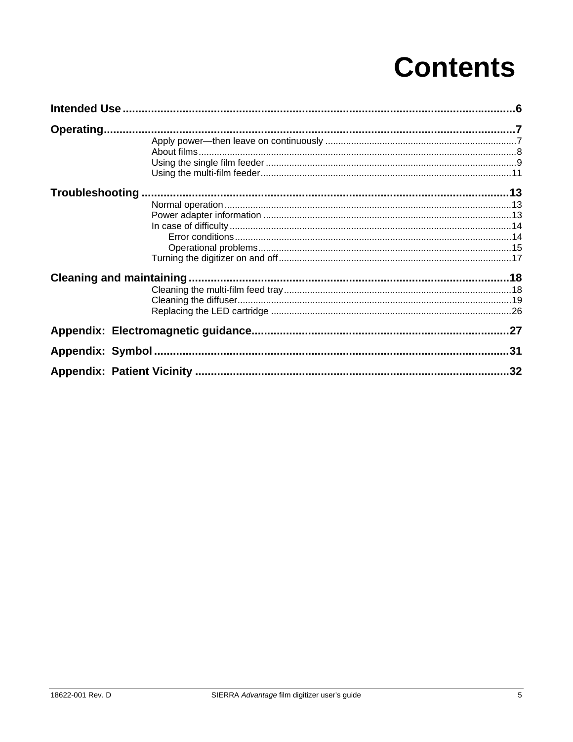## **Contents**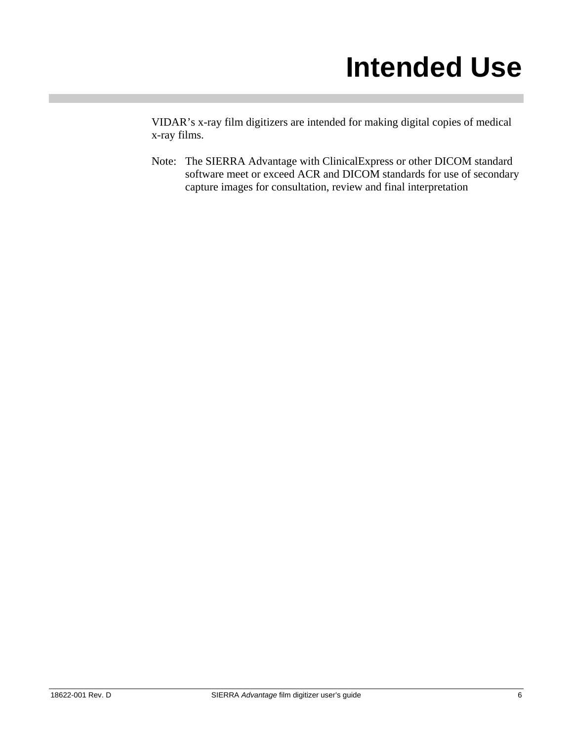## **Intended Use**

VIDAR's x-ray film digitizers are intended for making digital copies of medical x-ray films.

Note: The SIERRA Advantage with ClinicalExpress or other DICOM standard software meet or exceed ACR and DICOM standards for use of secondary capture images for consultation, review and final interpretation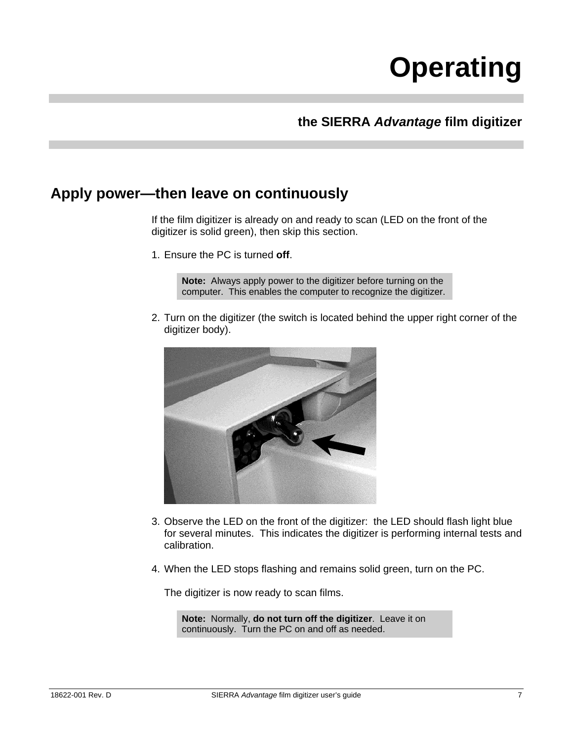# **Operating**

## **the SIERRA** *Advantage* **film digitizer**

## **Apply power—then leave on continuously**

If the film digitizer is already on and ready to scan (LED on the front of the digitizer is solid green), then skip this section.

1. Ensure the PC is turned **off**.

**Note:** Always apply power to the digitizer before turning on the computer. This enables the computer to recognize the digitizer.

2. Turn on the digitizer (the switch is located behind the upper right corner of the digitizer body).



- 3. Observe the LED on the front of the digitizer: the LED should flash light blue for several minutes. This indicates the digitizer is performing internal tests and calibration.
- 4. When the LED stops flashing and remains solid green, turn on the PC.

The digitizer is now ready to scan films.

**Note:** Normally, **do not turn off the digitizer**. Leave it on continuously. Turn the PC on and off as needed.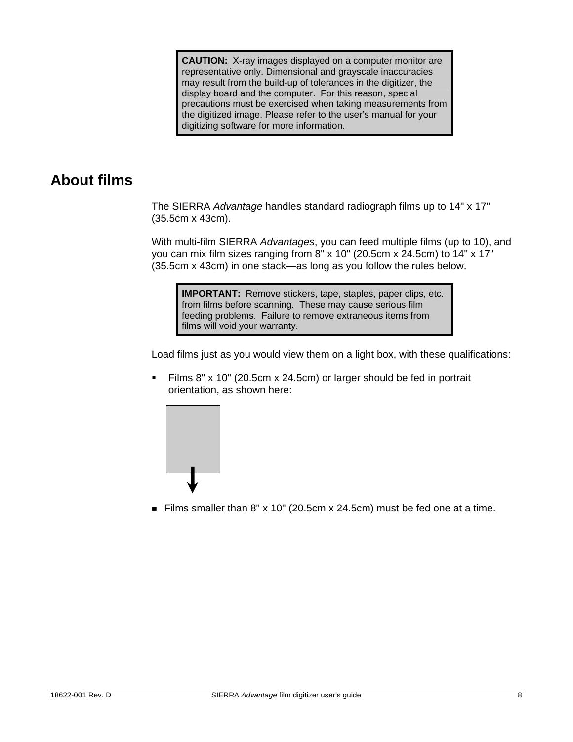**CAUTION:** X-ray images displayed on a computer monitor are representative only. Dimensional and grayscale inaccuracies may result from the build-up of tolerances in the digitizer, the display board and the computer. For this reason, special precautions must be exercised when taking measurements from the digitized image. Please refer to the user's manual for your digitizing software for more information.

## **About films**

The SIERRA *Advantage* handles standard radiograph films up to 14" x 17" (35.5cm x 43cm).

With multi-film SIERRA *Advantages*, you can feed multiple films (up to 10), and you can mix film sizes ranging from 8" x 10" (20.5cm x 24.5cm) to 14" x 17" (35.5cm x 43cm) in one stack—as long as you follow the rules below.

**IMPORTANT:** Remove stickers, tape, staples, paper clips, etc. from films before scanning. These may cause serious film feeding problems. Failure to remove extraneous items from films will void your warranty.

Load films just as you would view them on a light box, with these qualifications:

 Films 8" x 10" (20.5cm x 24.5cm) or larger should be fed in portrait orientation, as shown here:



Films smaller than  $8''$  x 10" (20.5cm x 24.5cm) must be fed one at a time.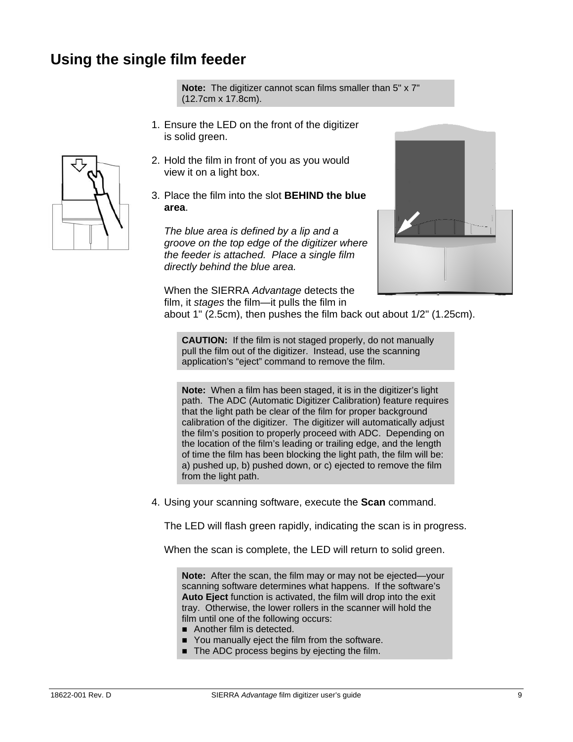## **Using the single film feeder**

**Note:** The digitizer cannot scan films smaller than 5" x 7" (12.7cm x 17.8cm).

- 1. Ensure the LED on the front of the digitizer is solid green.
- 2. Hold the film in front of you as you would view it on a light box.
- 3. Place the film into the slot **BEHIND the blue area**.

*The blue area is defined by a lip and a groove on the top edge of the digitizer where the feeder is attached. Place a single film directly behind the blue area.* 



 When the SIERRA *Advantage* detects the film, it *stages* the film—it pulls the film in

about 1" (2.5cm), then pushes the film back out about 1/2" (1.25cm).

**CAUTION:** If the film is not staged properly, do not manually pull the film out of the digitizer. Instead, use the scanning application's "eject" command to remove the film.

**Note:** When a film has been staged, it is in the digitizer's light path. The ADC (Automatic Digitizer Calibration) feature requires that the light path be clear of the film for proper background calibration of the digitizer. The digitizer will automatically adjust the film's position to properly proceed with ADC. Depending on the location of the film's leading or trailing edge, and the length of time the film has been blocking the light path, the film will be: a) pushed up, b) pushed down, or c) ejected to remove the film from the light path.

4. Using your scanning software, execute the **Scan** command.

The LED will flash green rapidly, indicating the scan is in progress.

When the scan is complete, the LED will return to solid green.

**Note:** After the scan, the film may or may not be ejected—your scanning software determines what happens. If the software's **Auto Eject** function is activated, the film will drop into the exit tray. Otherwise, the lower rollers in the scanner will hold the film until one of the following occurs:

- Another film is detected.
- You manually eject the film from the software.
- The ADC process begins by ejecting the film.

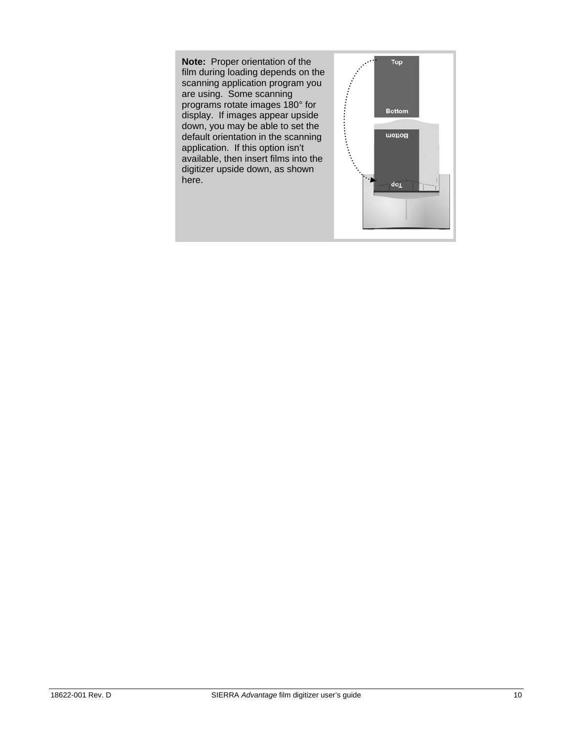**Note:** Proper orientation of the film during loading depends on the scanning application program you are using. Some scanning programs rotate images 180° for display. If images appear upside down, you may be able to set the default orientation in the scanning application. If this option isn't available, then insert films into the digitizer upside down, as shown here.

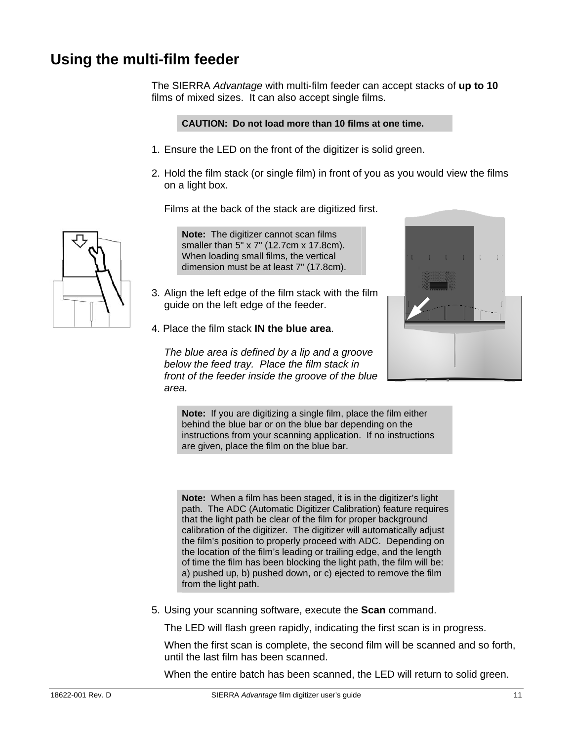## **Using the multi-film feeder**

The SIERRA *Advantage* with multi-film feeder can accept stacks of **up to 10** films of mixed sizes. It can also accept single films.

#### **CAUTION: Do not load more than 10 films at one time.**

- 1. Ensure the LED on the front of the digitizer is solid green.
- 2. Hold the film stack (or single film) in front of you as you would view the films on a light box.

Films at the back of the stack are digitized first.

**Note:** The digitizer cannot scan films smaller than 5" x 7" (12.7cm x 17.8cm). When loading small films, the vertical dimension must be at least 7" (17.8cm).

- 3. Align the left edge of the film stack with the film guide on the left edge of the feeder.
- 4. Place the film stack **IN the blue area**.

*The blue area is defined by a lip and a groove below the feed tray. Place the film stack in front of the feeder inside the groove of the blue area.* 

**Note:** If you are digitizing a single film, place the film either behind the blue bar or on the blue bar depending on the instructions from your scanning application. If no instructions are given, place the film on the blue bar.

**Note:** When a film has been staged, it is in the digitizer's light path. The ADC (Automatic Digitizer Calibration) feature requires that the light path be clear of the film for proper background calibration of the digitizer. The digitizer will automatically adjust the film's position to properly proceed with ADC. Depending on the location of the film's leading or trailing edge, and the length of time the film has been blocking the light path, the film will be: a) pushed up, b) pushed down, or c) ejected to remove the film from the light path.

5. Using your scanning software, execute the **Scan** command.

The LED will flash green rapidly, indicating the first scan is in progress.

 When the first scan is complete, the second film will be scanned and so forth, until the last film has been scanned.

When the entire batch has been scanned, the LED will return to solid green.

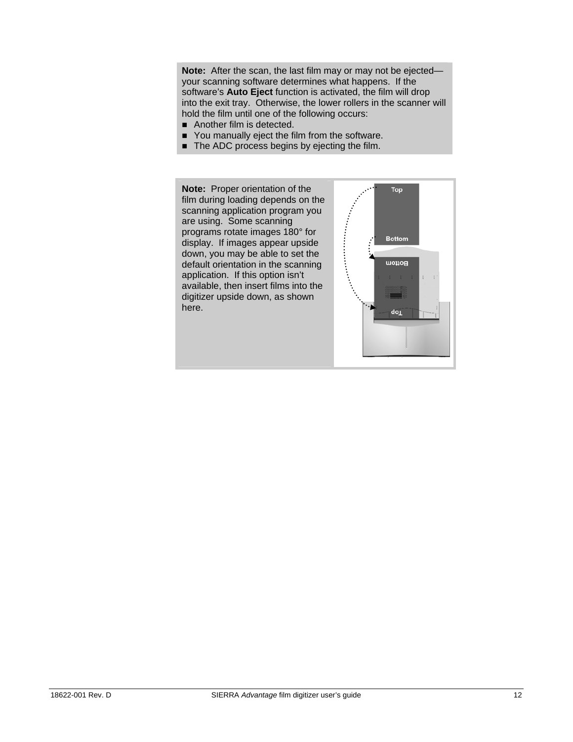**Note:** After the scan, the last film may or may not be ejected your scanning software determines what happens. If the software's **Auto Eject** function is activated, the film will drop into the exit tray. Otherwise, the lower rollers in the scanner will hold the film until one of the following occurs:

- Another film is detected.
- You manually eject the film from the software.
- The ADC process begins by ejecting the film.

**Note:** Proper orientation of the film during loading depends on the scanning application program you are using. Some scanning programs rotate images 180° for display. If images appear upside down, you may be able to set the default orientation in the scanning application. If this option isn't available, then insert films into the digitizer upside down, as shown here.

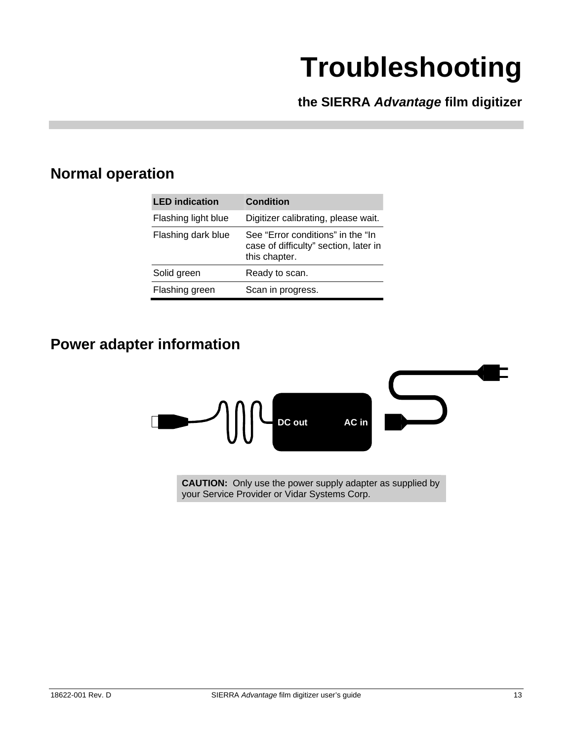# **Troubleshooting**

**the SIERRA** *Advantage* **film digitizer** 

## **Normal operation**

| <b>LED</b> indication | <b>Condition</b>                                                                            |
|-----------------------|---------------------------------------------------------------------------------------------|
| Flashing light blue   | Digitizer calibrating, please wait.                                                         |
| Flashing dark blue    | See "Error conditions" in the "In<br>case of difficulty" section, later in<br>this chapter. |
| Solid green           | Ready to scan.                                                                              |
| Flashing green        | Scan in progress.                                                                           |

## **Power adapter information**



**CAUTION:** Only use the power supply adapter as supplied by your Service Provider or Vidar Systems Corp.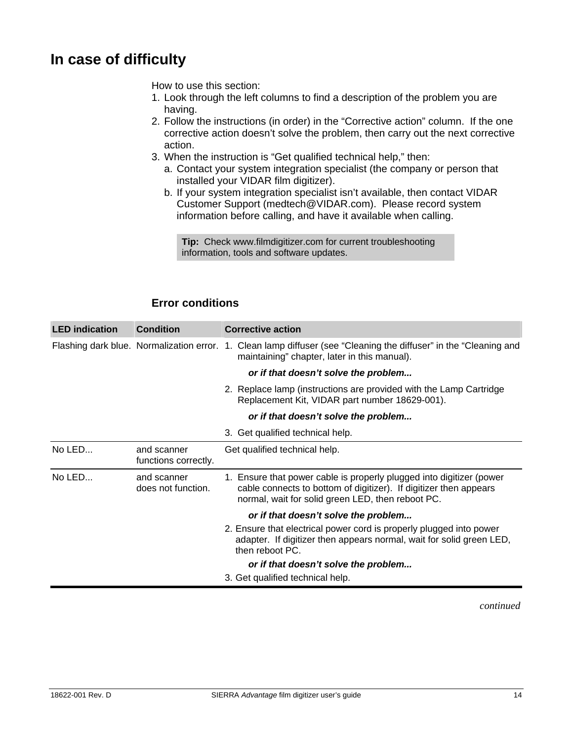## **In case of difficulty**

How to use this section:

- 1. Look through the left columns to find a description of the problem you are having.
- 2. Follow the instructions (in order) in the "Corrective action" column. If the one corrective action doesn't solve the problem, then carry out the next corrective action.
- 3. When the instruction is "Get qualified technical help," then:
	- a. Contact your system integration specialist (the company or person that installed your VIDAR film digitizer).
	- b. If your system integration specialist isn't available, then contact VIDAR Customer Support (medtech@VIDAR.com). Please record system information before calling, and have it available when calling.

**Tip:** Check www.filmdigitizer.com for current troubleshooting information, tools and software updates.

### **Error conditions**

| <b>LED</b> indication | <b>Condition</b>                    | <b>Corrective action</b>                                                                                                                                                                       |
|-----------------------|-------------------------------------|------------------------------------------------------------------------------------------------------------------------------------------------------------------------------------------------|
|                       |                                     | Flashing dark blue. Normalization error. 1. Clean lamp diffuser (see "Cleaning the diffuser" in the "Cleaning and<br>maintaining" chapter, later in this manual).                              |
|                       |                                     | or if that doesn't solve the problem                                                                                                                                                           |
|                       |                                     | 2. Replace lamp (instructions are provided with the Lamp Cartridge<br>Replacement Kit, VIDAR part number 18629-001).                                                                           |
|                       |                                     | or if that doesn't solve the problem                                                                                                                                                           |
|                       |                                     | 3. Get qualified technical help.                                                                                                                                                               |
| No LED                | and scanner<br>functions correctly. | Get qualified technical help.                                                                                                                                                                  |
| No LED                | and scanner<br>does not function.   | 1. Ensure that power cable is properly plugged into digitizer (power<br>cable connects to bottom of digitizer). If digitizer then appears<br>normal, wait for solid green LED, then reboot PC. |
|                       |                                     | or if that doesn't solve the problem                                                                                                                                                           |
|                       |                                     | 2. Ensure that electrical power cord is properly plugged into power<br>adapter. If digitizer then appears normal, wait for solid green LED,<br>then reboot PC.                                 |
|                       |                                     | or if that doesn't solve the problem                                                                                                                                                           |
|                       |                                     | 3. Get qualified technical help.                                                                                                                                                               |

*continued*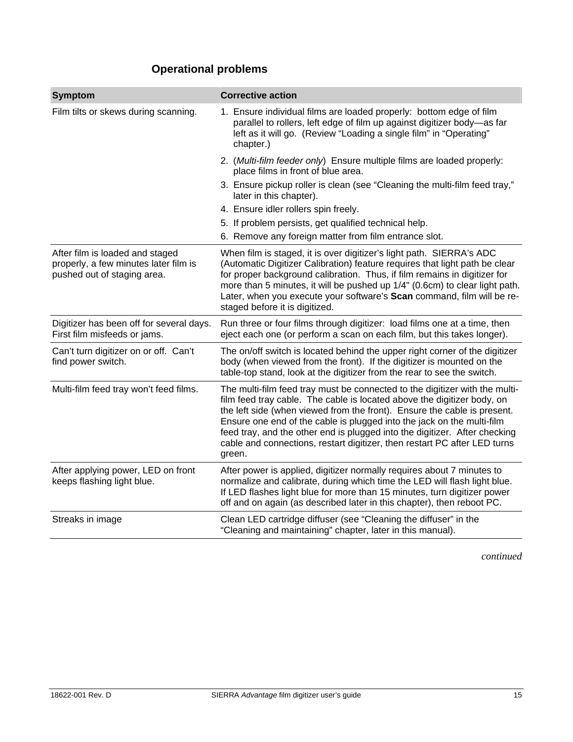## **Operational problems**

| <b>Symptom</b>                                                                                          | <b>Corrective action</b>                                                                                                                                                                                                                                                                                                                                                                                                                                                          |
|---------------------------------------------------------------------------------------------------------|-----------------------------------------------------------------------------------------------------------------------------------------------------------------------------------------------------------------------------------------------------------------------------------------------------------------------------------------------------------------------------------------------------------------------------------------------------------------------------------|
| Film tilts or skews during scanning.                                                                    | 1. Ensure individual films are loaded properly: bottom edge of film<br>parallel to rollers, left edge of film up against digitizer body-as far<br>left as it will go. (Review "Loading a single film" in "Operating"<br>chapter.)                                                                                                                                                                                                                                                 |
|                                                                                                         | 2. (Multi-film feeder only) Ensure multiple films are loaded properly:<br>place films in front of blue area.                                                                                                                                                                                                                                                                                                                                                                      |
|                                                                                                         | 3. Ensure pickup roller is clean (see "Cleaning the multi-film feed tray,"<br>later in this chapter).                                                                                                                                                                                                                                                                                                                                                                             |
|                                                                                                         | 4. Ensure idler rollers spin freely.                                                                                                                                                                                                                                                                                                                                                                                                                                              |
|                                                                                                         | 5. If problem persists, get qualified technical help.                                                                                                                                                                                                                                                                                                                                                                                                                             |
|                                                                                                         | 6. Remove any foreign matter from film entrance slot.                                                                                                                                                                                                                                                                                                                                                                                                                             |
| After film is loaded and staged<br>properly, a few minutes later film is<br>pushed out of staging area. | When film is staged, it is over digitizer's light path. SIERRA's ADC<br>(Automatic Digitizer Calibration) feature requires that light path be clear<br>for proper background calibration. Thus, if film remains in digitizer for<br>more than 5 minutes, it will be pushed up 1/4" (0.6cm) to clear light path.<br>Later, when you execute your software's Scan command, film will be re-<br>staged before it is digitized.                                                       |
| Digitizer has been off for several days.<br>First film misfeeds or jams.                                | Run three or four films through digitizer: load films one at a time, then<br>eject each one (or perform a scan on each film, but this takes longer).                                                                                                                                                                                                                                                                                                                              |
| Can't turn digitizer on or off. Can't<br>find power switch.                                             | The on/off switch is located behind the upper right corner of the digitizer<br>body (when viewed from the front). If the digitizer is mounted on the<br>table-top stand, look at the digitizer from the rear to see the switch.                                                                                                                                                                                                                                                   |
| Multi-film feed tray won't feed films.                                                                  | The multi-film feed tray must be connected to the digitizer with the multi-<br>film feed tray cable. The cable is located above the digitizer body, on<br>the left side (when viewed from the front). Ensure the cable is present.<br>Ensure one end of the cable is plugged into the jack on the multi-film<br>feed tray, and the other end is plugged into the digitizer. After checking<br>cable and connections, restart digitizer, then restart PC after LED turns<br>green. |
| After applying power, LED on front<br>keeps flashing light blue.                                        | After power is applied, digitizer normally requires about 7 minutes to<br>normalize and calibrate, during which time the LED will flash light blue.<br>If LED flashes light blue for more than 15 minutes, turn digitizer power<br>off and on again (as described later in this chapter), then reboot PC.                                                                                                                                                                         |
| Streaks in image                                                                                        | Clean LED cartridge diffuser (see "Cleaning the diffuser" in the<br>"Cleaning and maintaining" chapter, later in this manual).                                                                                                                                                                                                                                                                                                                                                    |

*continued*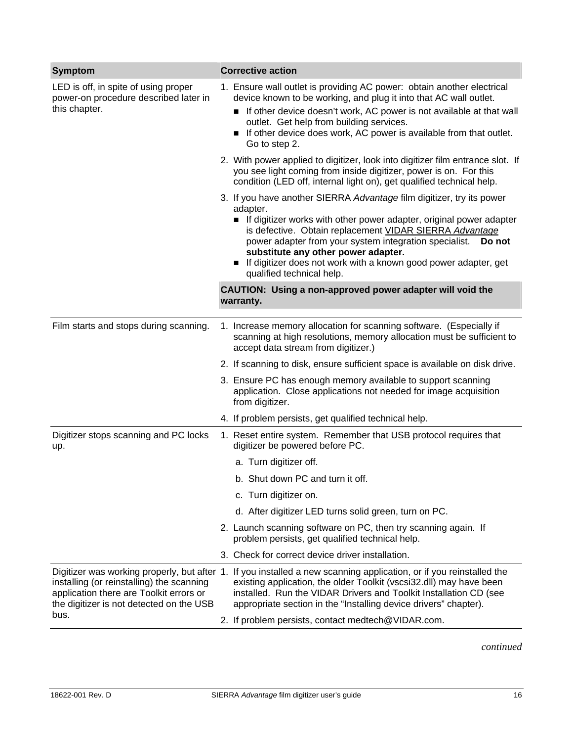| <b>Symptom</b>                                                                                                                           | <b>Corrective action</b>                                                                                                                                                                                                                                                                                                                                                                                                    |
|------------------------------------------------------------------------------------------------------------------------------------------|-----------------------------------------------------------------------------------------------------------------------------------------------------------------------------------------------------------------------------------------------------------------------------------------------------------------------------------------------------------------------------------------------------------------------------|
| LED is off, in spite of using proper<br>power-on procedure described later in<br>this chapter.                                           | 1. Ensure wall outlet is providing AC power: obtain another electrical<br>device known to be working, and plug it into that AC wall outlet.                                                                                                                                                                                                                                                                                 |
|                                                                                                                                          | If other device doesn't work, AC power is not available at that wall<br>outlet. Get help from building services.<br>If other device does work, AC power is available from that outlet.<br>Go to step 2.                                                                                                                                                                                                                     |
|                                                                                                                                          | 2. With power applied to digitizer, look into digitizer film entrance slot. If<br>you see light coming from inside digitizer, power is on. For this<br>condition (LED off, internal light on), get qualified technical help.                                                                                                                                                                                                |
|                                                                                                                                          | 3. If you have another SIERRA Advantage film digitizer, try its power<br>adapter.<br>If digitizer works with other power adapter, original power adapter<br>is defective. Obtain replacement VIDAR SIERRA Advantage<br>power adapter from your system integration specialist. Do not<br>substitute any other power adapter.<br>If digitizer does not work with a known good power adapter, get<br>qualified technical help. |
|                                                                                                                                          | CAUTION: Using a non-approved power adapter will void the<br>warranty.                                                                                                                                                                                                                                                                                                                                                      |
| Film starts and stops during scanning.                                                                                                   | 1. Increase memory allocation for scanning software. (Especially if<br>scanning at high resolutions, memory allocation must be sufficient to<br>accept data stream from digitizer.)                                                                                                                                                                                                                                         |
|                                                                                                                                          | 2. If scanning to disk, ensure sufficient space is available on disk drive.                                                                                                                                                                                                                                                                                                                                                 |
|                                                                                                                                          | 3. Ensure PC has enough memory available to support scanning<br>application. Close applications not needed for image acquisition<br>from digitizer.                                                                                                                                                                                                                                                                         |
|                                                                                                                                          | 4. If problem persists, get qualified technical help.                                                                                                                                                                                                                                                                                                                                                                       |
| Digitizer stops scanning and PC locks<br>up.                                                                                             | 1. Reset entire system. Remember that USB protocol requires that<br>digitizer be powered before PC.                                                                                                                                                                                                                                                                                                                         |
|                                                                                                                                          | a. Turn digitizer off.                                                                                                                                                                                                                                                                                                                                                                                                      |
|                                                                                                                                          | b. Shut down PC and turn it off.                                                                                                                                                                                                                                                                                                                                                                                            |
|                                                                                                                                          | c. Turn digitizer on.                                                                                                                                                                                                                                                                                                                                                                                                       |
|                                                                                                                                          | d. After digitizer LED turns solid green, turn on PC.                                                                                                                                                                                                                                                                                                                                                                       |
|                                                                                                                                          | 2. Launch scanning software on PC, then try scanning again. If<br>problem persists, get qualified technical help.                                                                                                                                                                                                                                                                                                           |
|                                                                                                                                          | 3. Check for correct device driver installation.                                                                                                                                                                                                                                                                                                                                                                            |
| installing (or reinstalling) the scanning<br>application there are Toolkit errors or<br>the digitizer is not detected on the USB<br>bus. | Digitizer was working properly, but after 1. If you installed a new scanning application, or if you reinstalled the<br>existing application, the older Toolkit (vscsi32.dll) may have been<br>installed. Run the VIDAR Drivers and Toolkit Installation CD (see<br>appropriate section in the "Installing device drivers" chapter).                                                                                         |
|                                                                                                                                          | 2. If problem persists, contact medtech@VIDAR.com.                                                                                                                                                                                                                                                                                                                                                                          |

*continued*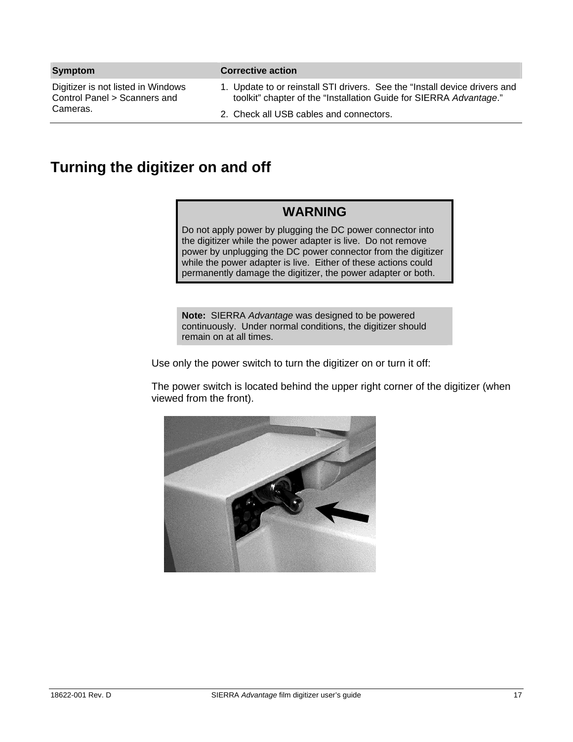| <b>Symptom</b>                                                     | <b>Corrective action</b>                                                                                                                         |
|--------------------------------------------------------------------|--------------------------------------------------------------------------------------------------------------------------------------------------|
| Digitizer is not listed in Windows<br>Control Panel > Scanners and | 1. Update to or reinstall STI drivers. See the "Install device drivers and<br>toolkit" chapter of the "Installation Guide for SIERRA Advantage." |
| Cameras.                                                           | 2. Check all USB cables and connectors.                                                                                                          |

## **Turning the digitizer on and off**

### **WARNING**

Do not apply power by plugging the DC power connector into the digitizer while the power adapter is live. Do not remove power by unplugging the DC power connector from the digitizer while the power adapter is live. Either of these actions could permanently damage the digitizer, the power adapter or both.

**Note:** SIERRA *Advantage* was designed to be powered continuously. Under normal conditions, the digitizer should remain on at all times.

Use only the power switch to turn the digitizer on or turn it off:

The power switch is located behind the upper right corner of the digitizer (when viewed from the front).

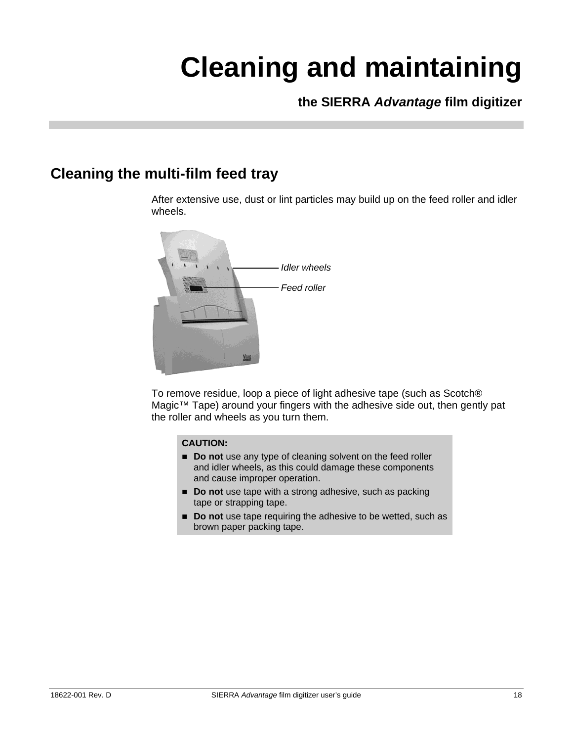# **Cleaning and maintaining**

**the SIERRA** *Advantage* **film digitizer** 

## **Cleaning the multi-film feed tray**

After extensive use, dust or lint particles may build up on the feed roller and idler wheels.



To remove residue, loop a piece of light adhesive tape (such as Scotch® Magic™ Tape) around your fingers with the adhesive side out, then gently pat the roller and wheels as you turn them.

#### **CAUTION:**

- **Do not** use any type of cleaning solvent on the feed roller and idler wheels, as this could damage these components and cause improper operation.
- **Do not** use tape with a strong adhesive, such as packing tape or strapping tape.
- **Do not** use tape requiring the adhesive to be wetted, such as brown paper packing tape.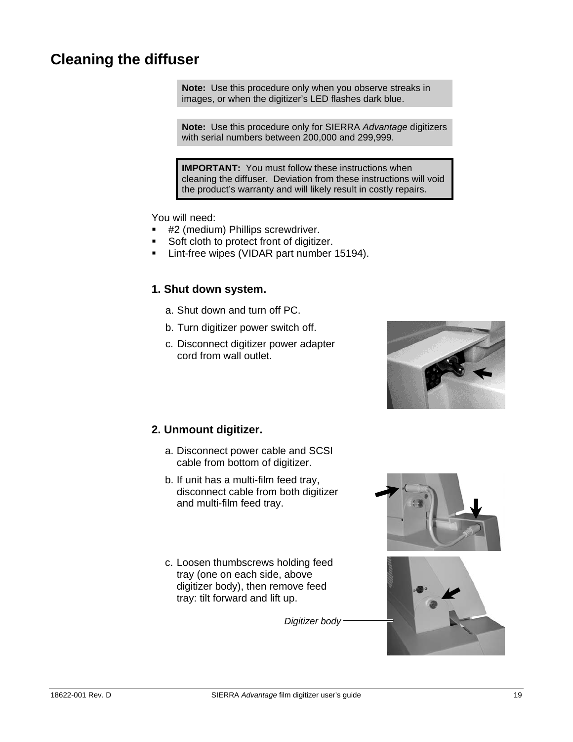## **Cleaning the diffuser**

**Note:** Use this procedure only when you observe streaks in images, or when the digitizer's LED flashes dark blue.

**Note:** Use this procedure only for SIERRA *Advantage* digitizers with serial numbers between 200,000 and 299,999.

**IMPORTANT:** You must follow these instructions when cleaning the diffuser. Deviation from these instructions will void the product's warranty and will likely result in costly repairs.

You will need:

- #2 (medium) Phillips screwdriver.
- Soft cloth to protect front of digitizer.
- **Lint-free wipes (VIDAR part number 15194).**

#### **1. Shut down system.**

- a. Shut down and turn off PC.
- b. Turn digitizer power switch off.
- c. Disconnect digitizer power adapter cord from wall outlet.



#### **2. Unmount digitizer.**

- a. Disconnect power cable and SCSI cable from bottom of digitizer.
- b. If unit has a multi-film feed tray, disconnect cable from both digitizer and multi-film feed tray.
- c. Loosen thumbscrews holding feed tray (one on each side, above digitizer body), then remove feed tray: tilt forward and lift up.

*Digitizer body* 

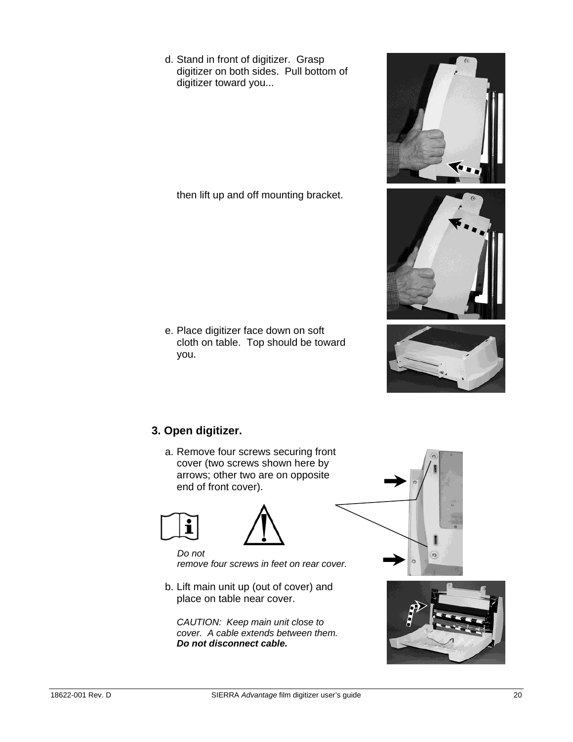d. Stand in front of digitizer. Grasp digitizer on both sides. Pull bottom of digitizer toward you...

then lift up and off mounting bracket.

e. Place digitizer face down on soft cloth on table. Top should be toward you.

## **3. Open digitizer.**

a. Remove four screws securing front cover (two screws shown here by arrows; other two are on opposite end of front cover).





*Do not remove four screws in feet on rear cover.*

b. Lift main unit up (out of cover) and place on table near cover.

*CAUTION: Keep main unit close to cover. A cable extends between them. Do not disconnect cable.*



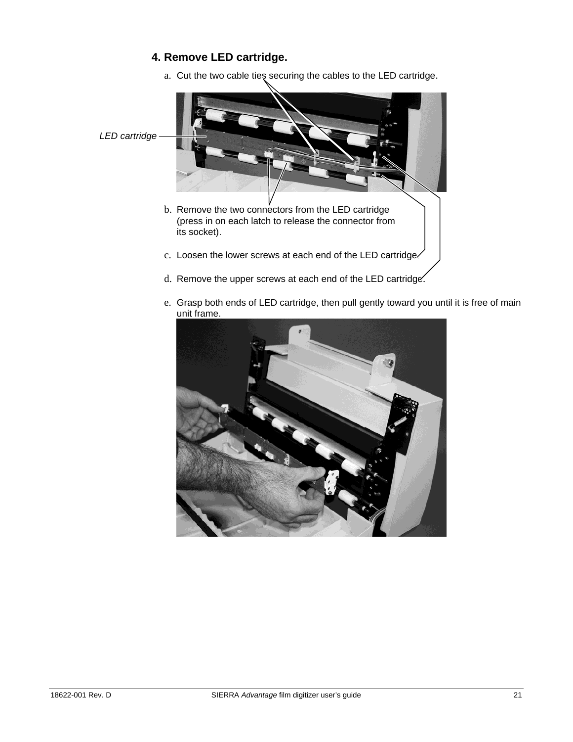### **4. Remove LED cartridge.**

a. Cut the two cable ties securing the cables to the LED cartridge.



e. Grasp both ends of LED cartridge, then pull gently toward you until it is free of main unit frame.

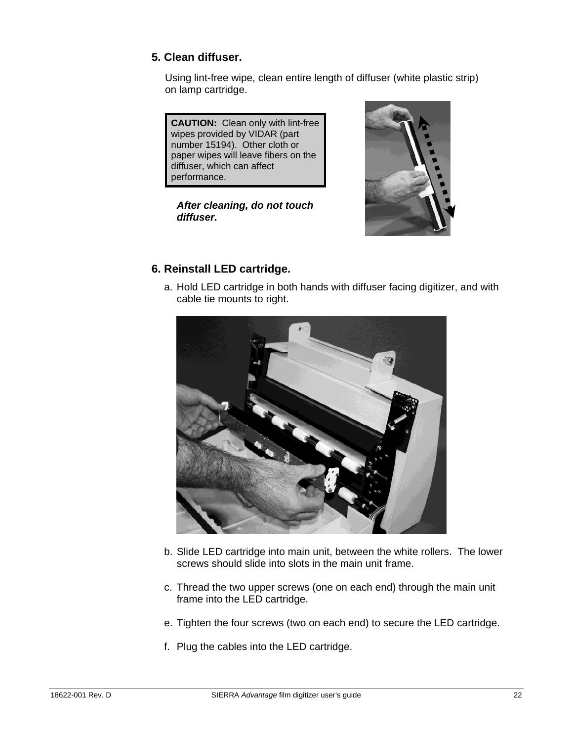#### **5. Clean diffuser.**

Using lint-free wipe, clean entire length of diffuser (white plastic strip) on lamp cartridge.

**CAUTION:** Clean only with lint-free wipes provided by VIDAR (part number 15194). Other cloth or paper wipes will leave fibers on the diffuser, which can affect performance.

#### *After cleaning, do not touch diffuser.*



### **6. Reinstall LED cartridge.**

a. Hold LED cartridge in both hands with diffuser facing digitizer, and with cable tie mounts to right.



- b. Slide LED cartridge into main unit, between the white rollers. The lower screws should slide into slots in the main unit frame.
- c. Thread the two upper screws (one on each end) through the main unit frame into the LED cartridge.
- e. Tighten the four screws (two on each end) to secure the LED cartridge.
- f. Plug the cables into the LED cartridge.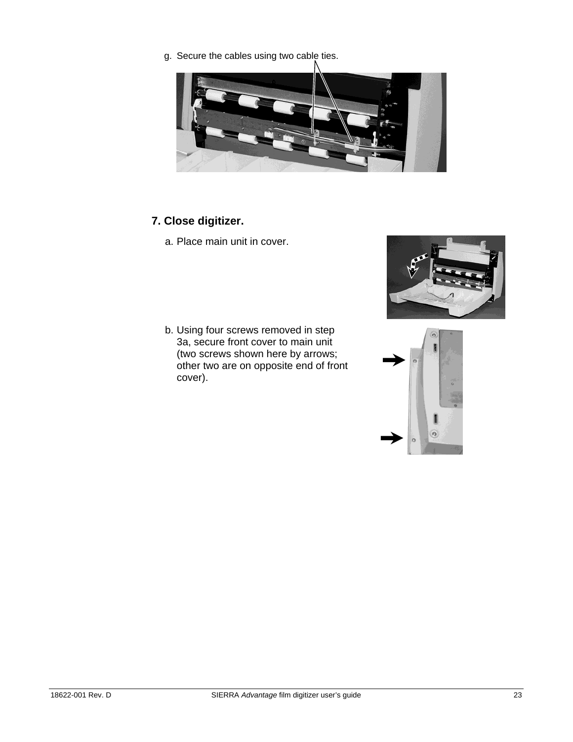g. Secure the cables using two cable ties.



### **7. Close digitizer.**

a. Place main unit in cover.

b. Using four screws removed in step 3a, secure front cover to main unit (two screws shown here by arrows; other two are on opposite end of front cover).



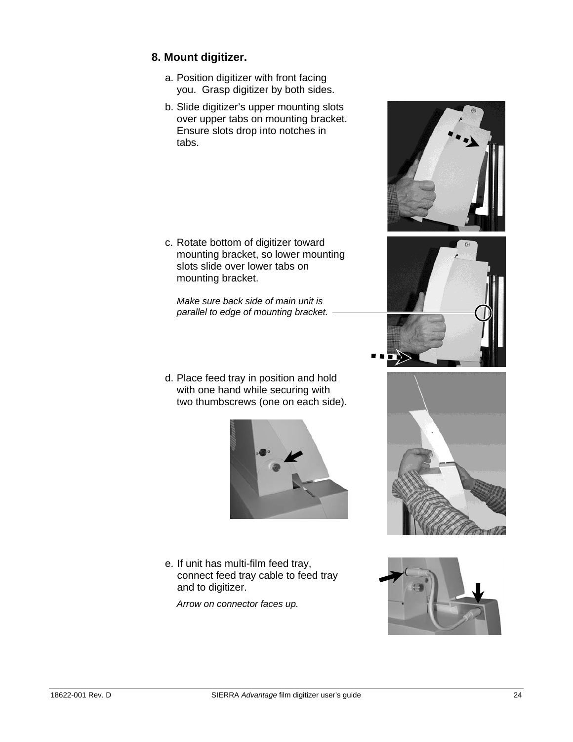#### **8. Mount digitizer.**

- a. Position digitizer with front facing you. Grasp digitizer by both sides.
- b. Slide digitizer's upper mounting slots over upper tabs on mounting bracket. Ensure slots drop into notches in tabs.

c. Rotate bottom of digitizer toward mounting bracket, so lower mounting slots slide over lower tabs on mounting bracket.

*Make sure back side of main unit is parallel to edge of mounting bracket.*

d. Place feed tray in position and hold with one hand while securing with two thumbscrews (one on each side).



e. If unit has multi-film feed tray, connect feed tray cable to feed tray and to digitizer.

*Arrow on connector faces up.* 







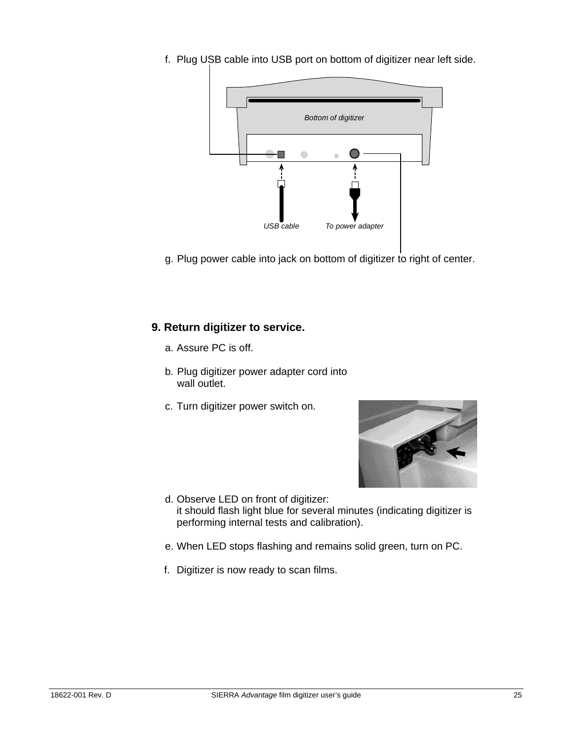f. Plug USB cable into USB port on bottom of digitizer near left side.



g. Plug power cable into jack on bottom of digitizer to right of center.

#### **9. Return digitizer to service.**

- a. Assure PC is off.
- b. Plug digitizer power adapter cord into wall outlet.
- c. Turn digitizer power switch on.



- d. Observe LED on front of digitizer: it should flash light blue for several minutes (indicating digitizer is performing internal tests and calibration).
- e. When LED stops flashing and remains solid green, turn on PC.
- f. Digitizer is now ready to scan films.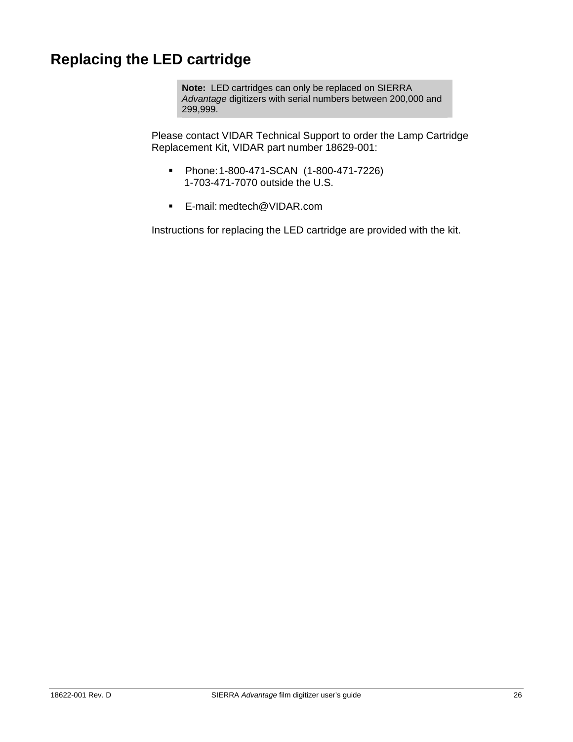## **Replacing the LED cartridge**

**Note:** LED cartridges can only be replaced on SIERRA *Advantage* digitizers with serial numbers between 200,000 and 299,999.

Please contact VIDAR Technical Support to order the Lamp Cartridge Replacement Kit, VIDAR part number 18629-001:

- Phone: 1-800-471-SCAN (1-800-471-7226) 1-703-471-7070 outside the U.S.
- E-mail: medtech@VIDAR.com

Instructions for replacing the LED cartridge are provided with the kit.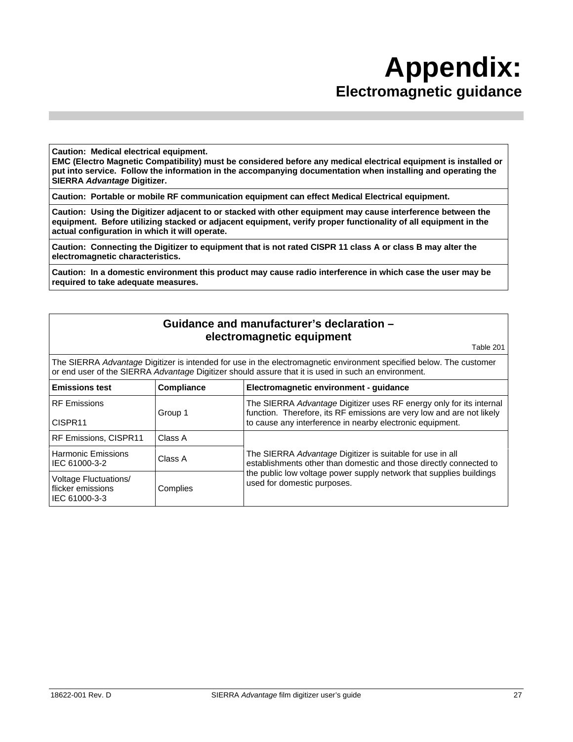## **Appendix: Electromagnetic guidance**

**Caution: Medical electrical equipment.** 

**EMC (Electro Magnetic Compatibility) must be considered before any medical electrical equipment is installed or put into service. Follow the information in the accompanying documentation when installing and operating the SIERRA** *Advantage* **Digitizer.** 

**Caution: Portable or mobile RF communication equipment can effect Medical Electrical equipment.** 

**Caution: Using the Digitizer adjacent to or stacked with other equipment may cause interference between the equipment. Before utilizing stacked or adjacent equipment, verify proper functionality of all equipment in the actual configuration in which it will operate.** 

**Caution: Connecting the Digitizer to equipment that is not rated CISPR 11 class A or class B may alter the electromagnetic characteristics.** 

**Caution: In a domestic environment this product may cause radio interference in which case the user may be required to take adequate measures.** 

#### **Guidance and manufacturer's declaration – electromagnetic equipment**

Table 201

The SIERRA *Advantage* Digitizer is intended for use in the electromagnetic environment specified below. The customer or end user of the SIERRA *Advantage* Digitizer should assure that it is used in such an environment.

| <b>Emissions test</b>                                       | Compliance | Electromagnetic environment - quidance                                                                                                       |
|-------------------------------------------------------------|------------|----------------------------------------------------------------------------------------------------------------------------------------------|
| <b>RF</b> Emissions                                         | Group 1    | The SIERRA Advantage Digitizer uses RF energy only for its internal<br>function. Therefore, its RF emissions are very low and are not likely |
| CISPR <sub>11</sub>                                         |            | to cause any interference in nearby electronic equipment.                                                                                    |
| RF Emissions, CISPR11                                       | Class A    |                                                                                                                                              |
| <b>Harmonic Emissions</b><br>IEC 61000-3-2                  | Class A    | The SIERRA Advantage Digitizer is suitable for use in all<br>establishments other than domestic and those directly connected to              |
| Voltage Fluctuations/<br>flicker emissions<br>IEC 61000-3-3 | Complies   | the public low voltage power supply network that supplies buildings<br>used for domestic purposes.                                           |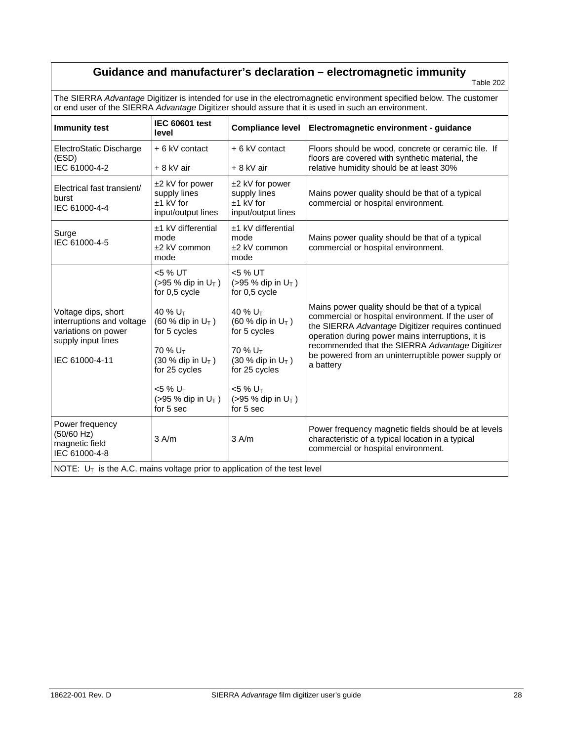### **Guidance and manufacturer's declaration – electromagnetic immunity**

Table 202

The SIERRA *Advantage* Digitizer is intended for use in the electromagnetic environment specified below. The customer or end user of the SIERRA *Advantage* Digitizer should assure that it is used in such an environment.

| <b>Immunity test</b>                                                                          | <b>IEC 60601 test</b><br>level                                                                                                                   | <b>Compliance level</b>                                                                                                                                                                                         | Electromagnetic environment - guidance                                                                                                          |
|-----------------------------------------------------------------------------------------------|--------------------------------------------------------------------------------------------------------------------------------------------------|-----------------------------------------------------------------------------------------------------------------------------------------------------------------------------------------------------------------|-------------------------------------------------------------------------------------------------------------------------------------------------|
| ElectroStatic Discharge<br>(ESD)                                                              | + 6 kV contact                                                                                                                                   | + 6 kV contact                                                                                                                                                                                                  | Floors should be wood, concrete or ceramic tile. If<br>floors are covered with synthetic material, the                                          |
| IEC 61000-4-2                                                                                 | + 8 kV air                                                                                                                                       | + 8 kV air                                                                                                                                                                                                      | relative humidity should be at least 30%                                                                                                        |
| Electrical fast transient/<br>burst<br>IEC 61000-4-4                                          | ±2 kV for power<br>supply lines<br>$±1$ kV for<br>input/output lines                                                                             | ±2 kV for power<br>supply lines<br>$±1$ kV for<br>input/output lines                                                                                                                                            | Mains power quality should be that of a typical<br>commercial or hospital environment.                                                          |
| Surge<br>IEC 61000-4-5                                                                        | ±1 kV differential<br>mode<br>$±2$ kV common<br>mode                                                                                             | ±1 kV differential<br>mode<br>±2 kV common<br>mode                                                                                                                                                              | Mains power quality should be that of a typical<br>commercial or hospital environment.                                                          |
|                                                                                               | <5 % UT<br>$( > 95 %$ dip in U <sub>T</sub> )<br>for 0.5 cycle                                                                                   | <5 % UT<br>$( > 95 %$ dip in U <sub>T</sub> )<br>for 0.5 cycle                                                                                                                                                  |                                                                                                                                                 |
| Voltage dips, short<br>interruptions and voltage<br>variations on power<br>supply input lines | 40 % U <sub>T</sub><br>40 % U <sub>T</sub><br>$(60 %$ dip in U <sub>T</sub> )<br>$(60 %$ dip in U <sub>T</sub> )<br>for 5 cycles<br>for 5 cycles | Mains power quality should be that of a typical<br>commercial or hospital environment. If the user of<br>the SIERRA Advantage Digitizer requires continued<br>operation during power mains interruptions, it is |                                                                                                                                                 |
| IEC 61000-4-11                                                                                | $70\%$ U <sub>T</sub><br>$(30 %$ dip in $U_T$ )<br>for 25 cycles                                                                                 | 70 % U <sub>T</sub><br>$(30 %$ dip in $U_T$ )<br>for 25 cycles                                                                                                                                                  | recommended that the SIERRA Advantage Digitizer<br>be powered from an uninterruptible power supply or<br>a battery                              |
|                                                                                               | $<$ 5 % U <sub>T</sub><br>$( > 95 %$ dip in $U_T$ )<br>for 5 sec                                                                                 | $<$ 5 % U <sub>T</sub><br>$( > 95 %$ dip in U <sub>T</sub> )<br>for 5 sec                                                                                                                                       |                                                                                                                                                 |
| Power frequency<br>(50/60 Hz)<br>magnetic field<br>IEC 61000-4-8                              | 3 A/m                                                                                                                                            | $3$ A/m                                                                                                                                                                                                         | Power frequency magnetic fields should be at levels<br>characteristic of a typical location in a typical<br>commercial or hospital environment. |
| NOTE: $U_T$ is the A.C. mains voltage prior to application of the test level                  |                                                                                                                                                  |                                                                                                                                                                                                                 |                                                                                                                                                 |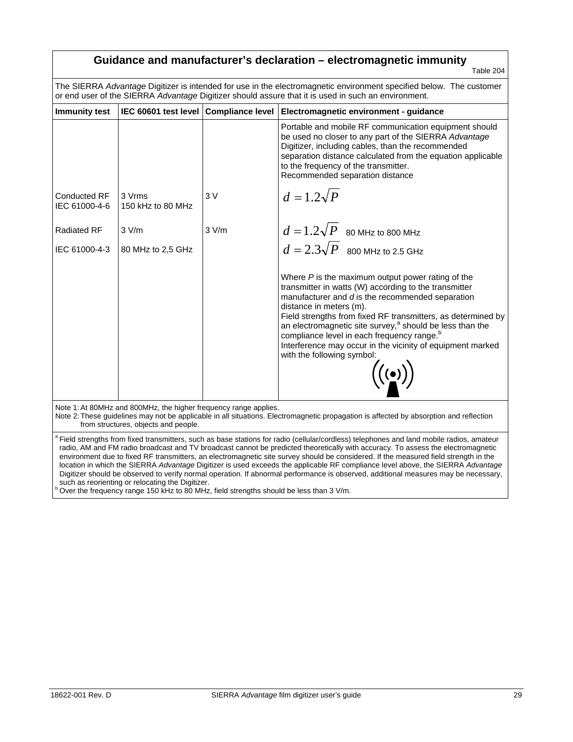| Guidance and manufacturer's declaration - electromagnetic immunity<br>Table 204                                                                                                                                                                                                                                                                                                                                                                                                             |                                                                                                                                                                                                                            |       |                                                                                                                                                                                                                                                                                                               |
|---------------------------------------------------------------------------------------------------------------------------------------------------------------------------------------------------------------------------------------------------------------------------------------------------------------------------------------------------------------------------------------------------------------------------------------------------------------------------------------------|----------------------------------------------------------------------------------------------------------------------------------------------------------------------------------------------------------------------------|-------|---------------------------------------------------------------------------------------------------------------------------------------------------------------------------------------------------------------------------------------------------------------------------------------------------------------|
|                                                                                                                                                                                                                                                                                                                                                                                                                                                                                             | The SIERRA Advantage Digitizer is intended for use in the electromagnetic environment specified below. The customer<br>or end user of the SIERRA Advantage Digitizer should assure that it is used in such an environment. |       |                                                                                                                                                                                                                                                                                                               |
| <b>Immunity test</b>                                                                                                                                                                                                                                                                                                                                                                                                                                                                        | IEC 60601 test level   Compliance level                                                                                                                                                                                    |       | Electromagnetic environment - guidance                                                                                                                                                                                                                                                                        |
|                                                                                                                                                                                                                                                                                                                                                                                                                                                                                             |                                                                                                                                                                                                                            |       | Portable and mobile RF communication equipment should<br>be used no closer to any part of the SIERRA Advantage<br>Digitizer, including cables, than the recommended<br>separation distance calculated from the equation applicable<br>to the frequency of the transmitter.<br>Recommended separation distance |
| <b>Conducted RF</b><br>IEC 61000-4-6                                                                                                                                                                                                                                                                                                                                                                                                                                                        | 3 Vrms<br>150 kHz to 80 MHz                                                                                                                                                                                                | 3 V   | $d=1.2\sqrt{P}$                                                                                                                                                                                                                                                                                               |
| <b>Radiated RF</b>                                                                                                                                                                                                                                                                                                                                                                                                                                                                          | 3 V/m                                                                                                                                                                                                                      | 3 V/m | $d=1.2\sqrt{P}$ 80 MHz to 800 MHz                                                                                                                                                                                                                                                                             |
| IEC 61000-4-3                                                                                                                                                                                                                                                                                                                                                                                                                                                                               | 80 MHz to 2,5 GHz                                                                                                                                                                                                          |       | $d=2.3\sqrt{P}$ 800 MHz to 2.5 GHz                                                                                                                                                                                                                                                                            |
| Where $P$ is the maximum output power rating of the<br>transmitter in watts (W) according to the transmitter<br>manufacturer and $d$ is the recommended separation<br>distance in meters (m).<br>Field strengths from fixed RF transmitters, as determined by<br>an electromagnetic site survey, <sup>a</sup> should be less than the<br>compliance level in each frequency range. <sup>b</sup><br>Interference may occur in the vicinity of equipment marked<br>with the following symbol: |                                                                                                                                                                                                                            |       |                                                                                                                                                                                                                                                                                                               |
|                                                                                                                                                                                                                                                                                                                                                                                                                                                                                             | Note 1: At 80MHz and 800MHz, the higher frequency range applies.<br>from structures, objects and people.                                                                                                                   |       | Note 2: These guidelines may not be applicable in all situations. Electromagnetic propagation is affected by absorption and reflection                                                                                                                                                                        |

Field strengths from fixed transmitters, such as base stations for radio (cellular/cordless) telephones and land mobile radios, amateur radio, AM and FM radio broadcast and TV broadcast cannot be predicted theoretically with accuracy. To assess the electromagnetic environment due to fixed RF transmitters, an electromagnetic site survey should be considered. If the measured field strength in the location in which the SIERRA *Advantage* Digitizer is used exceeds the applicable RF compliance level above, the SIERRA *Advantage* Digitizer should be observed to verify normal operation. If abnormal performance is observed, additional measures may be necessary, such as reorienting or relocating the Digitizer.

Over the frequency range 150 kHz to 80 MHz, field strengths should be less than 3 V/m.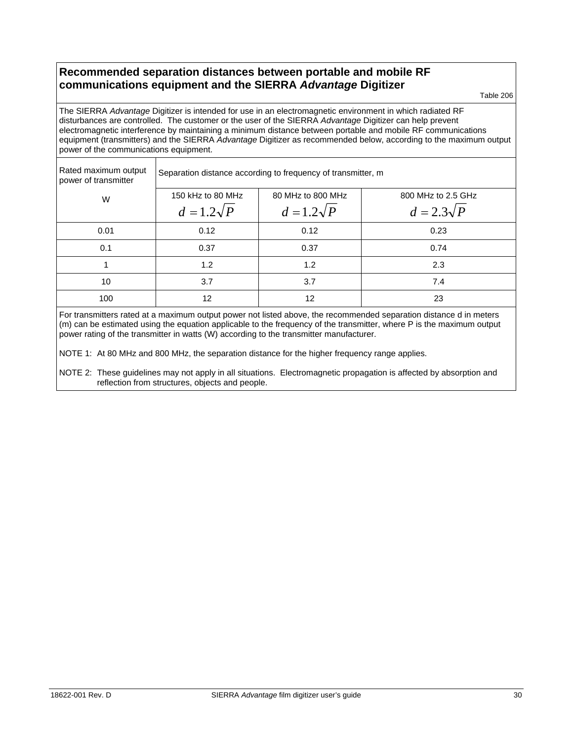#### **Recommended separation distances between portable and mobile RF communications equipment and the SIERRA** *Advantage* **Digitizer**

Table 206

The SIERRA *Advantage* Digitizer is intended for use in an electromagnetic environment in which radiated RF disturbances are controlled. The customer or the user of the SIERRA *Advantage* Digitizer can help prevent electromagnetic interference by maintaining a minimum distance between portable and mobile RF communications equipment (transmitters) and the SIERRA *Advantage* Digitizer as recommended below, according to the maximum output power of the communications equipment.

| Rated maximum output<br>power of transmitter | Separation distance according to frequency of transmitter, m |                   |                    |  |
|----------------------------------------------|--------------------------------------------------------------|-------------------|--------------------|--|
| W                                            | 150 kHz to 80 MHz                                            | 80 MHz to 800 MHz | 800 MHz to 2.5 GHz |  |
|                                              | $d=1.2\sqrt{P}$                                              | $d=1.2\sqrt{P}$   | $d=2.3\sqrt{P}$    |  |
| 0.01                                         | 0.12                                                         | 0.12              | 0.23               |  |
| 0.1                                          | 0.37                                                         | 0.37              | 0.74               |  |
|                                              | 1.2                                                          | 1.2               | 2.3                |  |
| 10                                           | 3.7                                                          | 3.7               | 7.4                |  |
| 100                                          | 12                                                           | 12                | 23                 |  |

For transmitters rated at a maximum output power not listed above, the recommended separation distance d in meters (m) can be estimated using the equation applicable to the frequency of the transmitter, where P is the maximum output power rating of the transmitter in watts (W) according to the transmitter manufacturer.

NOTE 1: At 80 MHz and 800 MHz, the separation distance for the higher frequency range applies.

NOTE 2: These guidelines may not apply in all situations. Electromagnetic propagation is affected by absorption and reflection from structures, objects and people.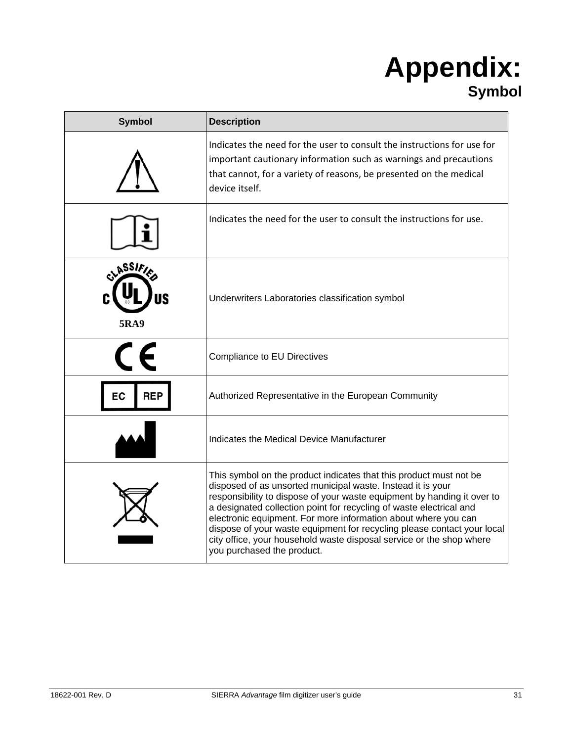## **Appendix: Symbol**

| <b>Symbol</b>         | <b>Description</b>                                                                                                                                                                                                                                                                                                                                                                                                                                                                                                                     |
|-----------------------|----------------------------------------------------------------------------------------------------------------------------------------------------------------------------------------------------------------------------------------------------------------------------------------------------------------------------------------------------------------------------------------------------------------------------------------------------------------------------------------------------------------------------------------|
|                       | Indicates the need for the user to consult the instructions for use for<br>important cautionary information such as warnings and precautions<br>that cannot, for a variety of reasons, be presented on the medical<br>device itself.                                                                                                                                                                                                                                                                                                   |
|                       | Indicates the need for the user to consult the instructions for use.                                                                                                                                                                                                                                                                                                                                                                                                                                                                   |
| assif)<br><b>5RA9</b> | Underwriters Laboratories classification symbol                                                                                                                                                                                                                                                                                                                                                                                                                                                                                        |
|                       | Compliance to EU Directives                                                                                                                                                                                                                                                                                                                                                                                                                                                                                                            |
| REF<br>EС             | Authorized Representative in the European Community                                                                                                                                                                                                                                                                                                                                                                                                                                                                                    |
|                       | Indicates the Medical Device Manufacturer                                                                                                                                                                                                                                                                                                                                                                                                                                                                                              |
|                       | This symbol on the product indicates that this product must not be<br>disposed of as unsorted municipal waste. Instead it is your<br>responsibility to dispose of your waste equipment by handing it over to<br>a designated collection point for recycling of waste electrical and<br>electronic equipment. For more information about where you can<br>dispose of your waste equipment for recycling please contact your local<br>city office, your household waste disposal service or the shop where<br>you purchased the product. |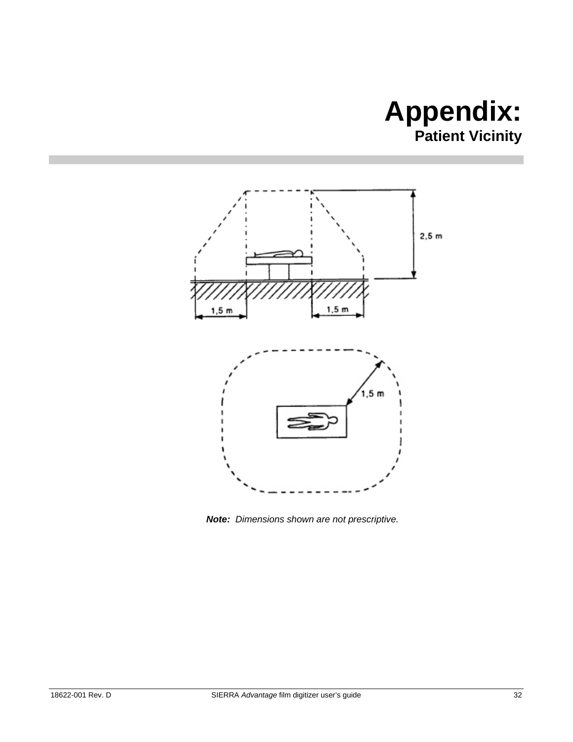## **Appendix: Patient Vicinity**



*Note: Dimensions shown are not prescriptive.*